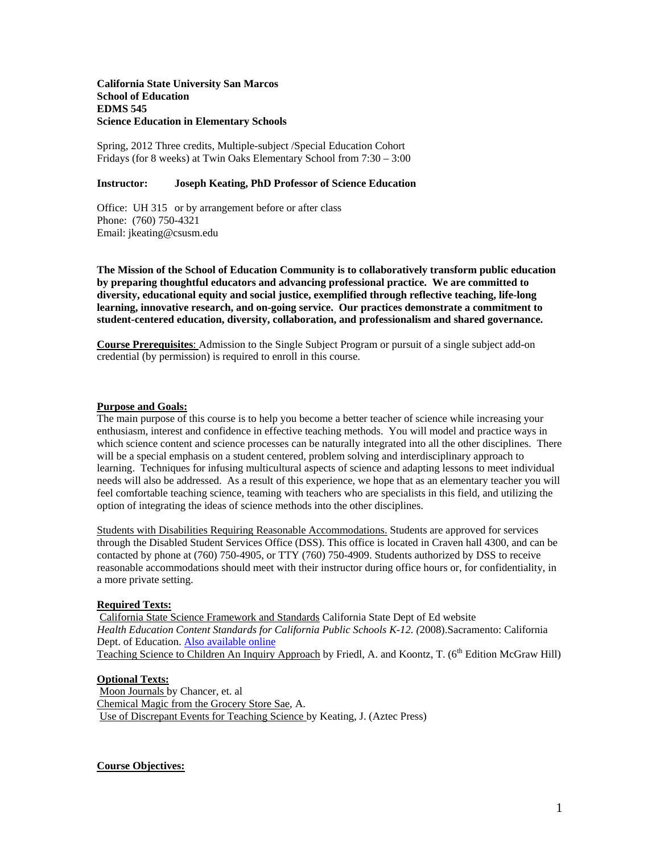#### **School of Education California State University San Marcos EDMS 545 Science Education in Elementary Schools**

 Fridays (for 8 weeks) at Twin Oaks Elementary School from 7:30 – 3:00 Spring, 2012 Three credits, Multiple-subject /Special Education Cohort

## **Instructor: Joseph Keating, PhD Professor of Science Education**

Office: UH 315 or by arrangement before or after class Phone: (760) 750-4321 Email: jkeating@csusm.edu

**The Mission of the School of Education Community is to collaboratively transform public education by preparing thoughtful educators and advancing professional practice. We are committed to diversity, educational equity and social justice, exemplified through reflective teaching, life-long learning, innovative research, and on-going service. Our practices demonstrate a commitment to student-centered education, diversity, collaboration, and professionalism and shared governance.** 

**Course Prerequisites**: Admission to the Single Subject Program or pursuit of a single subject add-on credential (by permission) is required to enroll in this course.

# **Purpose and Goals:**

 which science content and science processes can be naturally integrated into all the other disciplines. There The main purpose of this course is to help you become a better teacher of science while increasing your enthusiasm, interest and confidence in effective teaching methods. You will model and practice ways in will be a special emphasis on a student centered, problem solving and interdisciplinary approach to learning. Techniques for infusing multicultural aspects of science and adapting lessons to meet individual needs will also be addressed. As a result of this experience, we hope that as an elementary teacher you will feel comfortable teaching science, teaming with teachers who are specialists in this field, and utilizing the option of integrating the ideas of science methods into the other disciplines.

Students with Disabilities Requiring Reasonable Accommodations. Students are approved for services through the Disabled Student Services Office (DSS). This office is located in Craven hall 4300, and can be contacted by phone at (760) 750-4905, or TTY (760) 750-4909. Students authorized by DSS to receive reasonable accommodations should meet with their instructor during office hours or, for confidentiality, in a more private setting.

### **Required Texts:**

 California State Science Framework and Standards California State Dept of Ed website *Health Education Content Standards for California Public Schools K-12. (*2008).Sacramento: California Dept. of Education. Also available online Teaching Science to Children An Inquiry Approach by Friedl, A. and Koontz, T. (6<sup>th</sup> Edition McGraw Hill)

#### **Optional Texts:**

 Moon Journals by Chancer, et. al Chemical Magic from the Grocery Store Sae, A. Use of Discrepant Events for Teaching Science by Keating, J. (Aztec Press)

#### **Course Objectives:**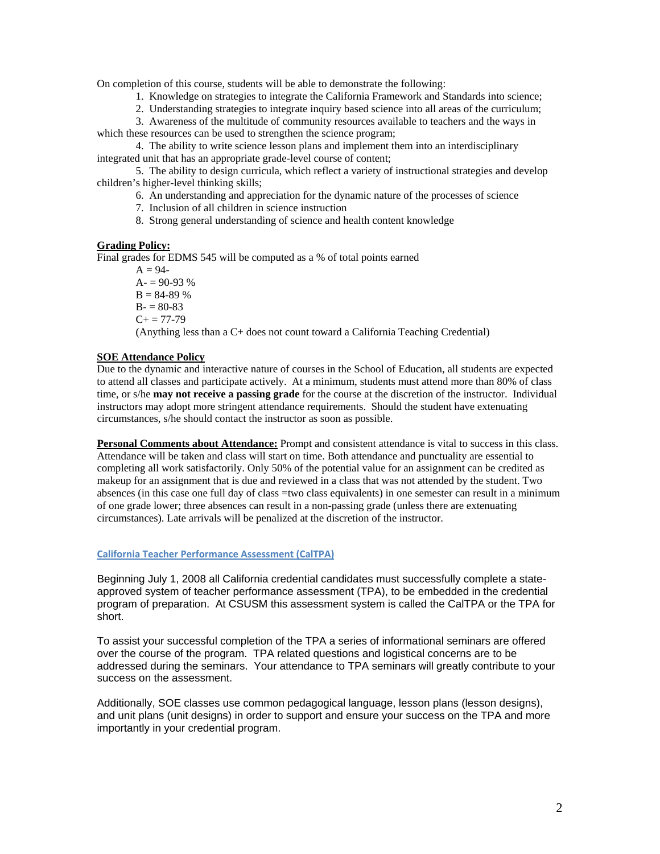On completion of this course, students will be able to demonstrate the following:

- 1. Knowledge on strategies to integrate the California Framework and Standards into science;
- 2. Understanding strategies to integrate inquiry based science into all areas of the curriculum;

3. Awareness of the multitude of community resources available to teachers and the ways in which these resources can be used to strengthen the science program;

4. The ability to write science lesson plans and implement them into an interdisciplinary integrated unit that has an appropriate grade-level course of content;

5. The ability to design curricula, which reflect a variety of instructional strategies and develop children's higher-level thinking skills;

6. An understanding and appreciation for the dynamic nature of the processes of science

- 7. Inclusion of all children in science instruction
- 8. Strong general understanding of science and health content knowledge

#### **Grading Policy:**

Final grades for EDMS 545 will be computed as a % of total points earned

 $A = 94 A = 90-93\%$  $B = 84-89%$  $B = 80-83$  $C+= 77-79$ (Anything less than a C+ does not count toward a California Teaching Credential)

#### **SOE Attendance Policy**

 instructors may adopt more stringent attendance requirements. Should the student have extenuating Due to the dynamic and interactive nature of courses in the School of Education, all students are expected to attend all classes and participate actively. At a minimum, students must attend more than 80% of class time, or s/he **may not receive a passing grade** for the course at the discretion of the instructor. Individual circumstances, s/he should contact the instructor as soon as possible.

 Attendance will be taken and class will start on time. Both attendance and punctuality are essential to **Personal Comments about Attendance:** Prompt and consistent attendance is vital to success in this class. completing all work satisfactorily. Only 50% of the potential value for an assignment can be credited as makeup for an assignment that is due and reviewed in a class that was not attended by the student. Two absences (in this case one full day of class =two class equivalents) in one semester can result in a minimum of one grade lower; three absences can result in a non-passing grade (unless there are extenuating circumstances). Late arrivals will be penalized at the discretion of the instructor.

# **California Teacher Performance Assessment (CalTPA)**

Beginning July 1, 2008 all California credential candidates must successfully complete a stateapproved system of teacher performance assessment (TPA), to be embedded in the credential program of preparation. At CSUSM this assessment system is called the CalTPA or the TPA for short.

success on the assessment. To assist your successful completion of the TPA a series of informational seminars are offered over the course of the program. TPA related questions and logistical concerns are to be addressed during the seminars. Your attendance to TPA seminars will greatly contribute to your

Additionally, SOE classes use common pedagogical language, lesson plans (lesson designs), and unit plans (unit designs) in order to support and ensure your success on the TPA and more importantly in your credential program.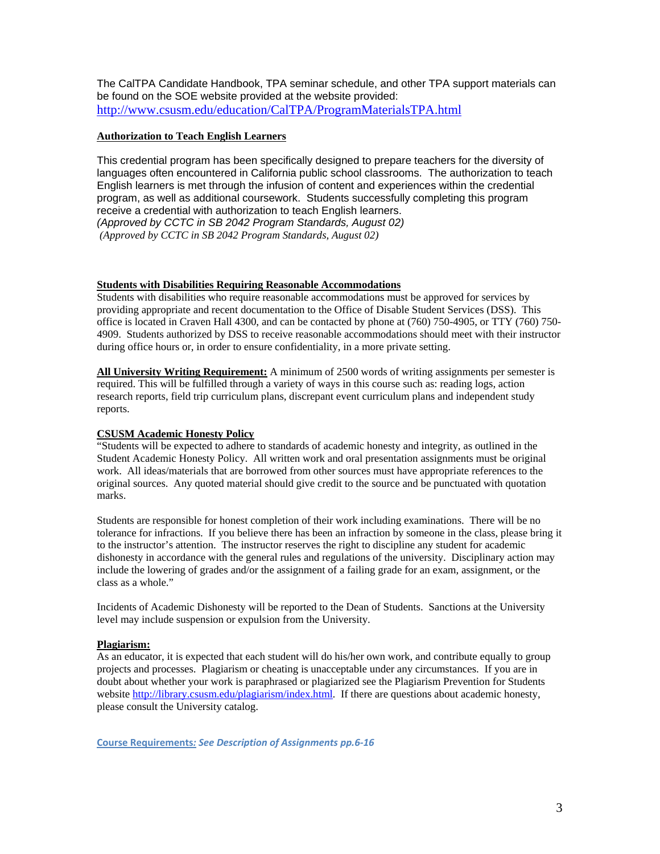The CalTPA Candidate Handbook, TPA seminar schedule, and other TPA support materials can be found on the SOE website provided at the website provided: http://www.csusm.edu/education/CalTPA/ProgramMaterialsTPA.html

# **Authorization to Teach English Learners**

 *(Approved by CCTC in SB 2042 Program Standards, August 02)*  This credential program has been specifically designed to prepare teachers for the diversity of languages often encountered in California public school classrooms. The authorization to teach English learners is met through the infusion of content and experiences within the credential program, as well as additional coursework. Students successfully completing this program receive a credential with authorization to teach English learners. *(Approved by CCTC in SB 2042 Program Standards, August 02)* 

# **Students with Disabilities Requiring Reasonable Accommodations**

Students with disabilities who require reasonable accommodations must be approved for services by providing appropriate and recent documentation to the Office of Disable Student Services (DSS). This office is located in Craven Hall 4300, and can be contacted by phone at (760) 750-4905, or TTY (760) 750 4909. Students authorized by DSS to receive reasonable accommodations should meet with their instructor during office hours or, in order to ensure confidentiality, in a more private setting.

 **All University Writing Requirement:** A minimum of 2500 words of writing assignments per semester is required. This will be fulfilled through a variety of ways in this course such as: reading logs, action research reports, field trip curriculum plans, discrepant event curriculum plans and independent study reports.

# **CSUSM Academic Honesty Policy**

 original sources. Any quoted material should give credit to the source and be punctuated with quotation "Students will be expected to adhere to standards of academic honesty and integrity, as outlined in the Student Academic Honesty Policy. All written work and oral presentation assignments must be original work. All ideas/materials that are borrowed from other sources must have appropriate references to the marks.

Students are responsible for honest completion of their work including examinations. There will be no tolerance for infractions. If you believe there has been an infraction by someone in the class, please bring it to the instructor's attention. The instructor reserves the right to discipline any student for academic dishonesty in accordance with the general rules and regulations of the university. Disciplinary action may include the lowering of grades and/or the assignment of a failing grade for an exam, assignment, or the class as a whole."

Incidents of Academic Dishonesty will be reported to the Dean of Students. Sanctions at the University level may include suspension or expulsion from the University.

# **Plagiarism:**

As an educator, it is expected that each student will do his/her own work, and contribute equally to group projects and processes. Plagiarism or cheating is unacceptable under any circumstances. If you are in doubt about whether your work is paraphrased or plagiarized see the Plagiarism Prevention for Students website http://library.csusm.edu/plagiarism/index.html. If there are questions about academic honesty, please consult the University catalog.

 **Course Requirements***: See Description of Assignments pp.6‐16*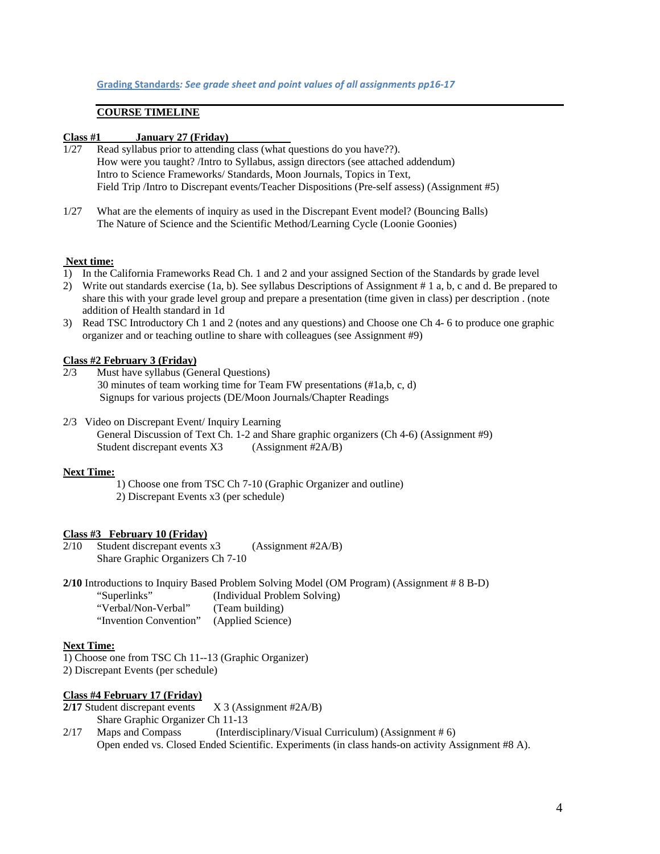### **COURSE TIMELINE**

#### **Class #1 January 27 (Friday)**

- Intro to Science Frameworks/ Standards, Moon Journals, Topics in Text.  $1/27$  Read syllabus prior to attending class (what questions do you have??). How were you taught? /Intro to Syllabus, assign directors (see attached addendum) Field Trip /Intro to Discrepant events/ Teacher Dispositions (Pre-self assess) (Assignment #5)
- 1/27 What are the elements of inquiry as used in the Discrepant Event model? (Bouncing Balls) The Nature of Science and the Scientific Method/Learning Cycle (Loonie Goonies)

# **Next time:**

- 1) In the California Frameworks Read Ch. 1 and 2 and your assigned Section of the Standards by grade level
- share this with your grade level group and prepare a presentation (time given in class) per description . (note addition of Health standard in 1d 2) Write out standards exercise (1a, b). See syllabus Descriptions of Assignment # 1 a, b, c and d. Be prepared to
- 3) Read TSC Introductory Ch 1 and 2 (notes and any questions) and Choose one Ch 4- 6 to produce one graphic organizer and or teaching outline to share with colleagues (see Assignment #9)

#### **Class #2 February 3 (Friday)**

- 2/3 Must have syllabus (General Questions) 30 minutes of team working time for Team FW presentations (#1a,b, c, d)
- Signups for various projects (DE/Moon Journals/Chapter Readings 2/3 Video on Discrepant Event/ Inquiry Learning 2/3 Video on Discrepant Event/ Inquiry Learning Student discrepant events X3 (Assignment #2A/B) General Discussion of Text Ch. 1-2 and Share graphic organizers (Ch 4-6) (Assignment #9)

#### **Next Time:**

 2) Discrepant Events x3 (per schedule) 1) Choose one from TSC Ch 7-10 (Graphic Organizer and outline)

### **Class #3 February 10 (Friday)**

 $2/10$ Student discrepant events  $x3$  (Assignment #2A/B) Share Graphic Organizers Ch 7-10

(Team building) **2/10** Introductions to Inquiry Based Problem Solving Model (OM Program) (Assignment # 8 B-D) "Superlinks" (Individual Problem Solving) "Verbal/Non-Verbal" "Invention Convention" (Applied Science)

#### **Next Time:**

1) Choose one from TSC Ch 11--13 (Graphic Organizer)

2) Discrepant Events (per schedule)

# **Class #4 February 17 (Friday)**

- **2/17** Student discrepant events X 3 (Assignment #2A/B) Share Graphic Organizer Ch 11-13
- 2/17 Maps and Compass (Interdisciplinary/Visual Curriculum) (Assignment # 6) Open ended vs. Closed Ended Scientific. Experiments (in class hands-on activity Assignment #8 A).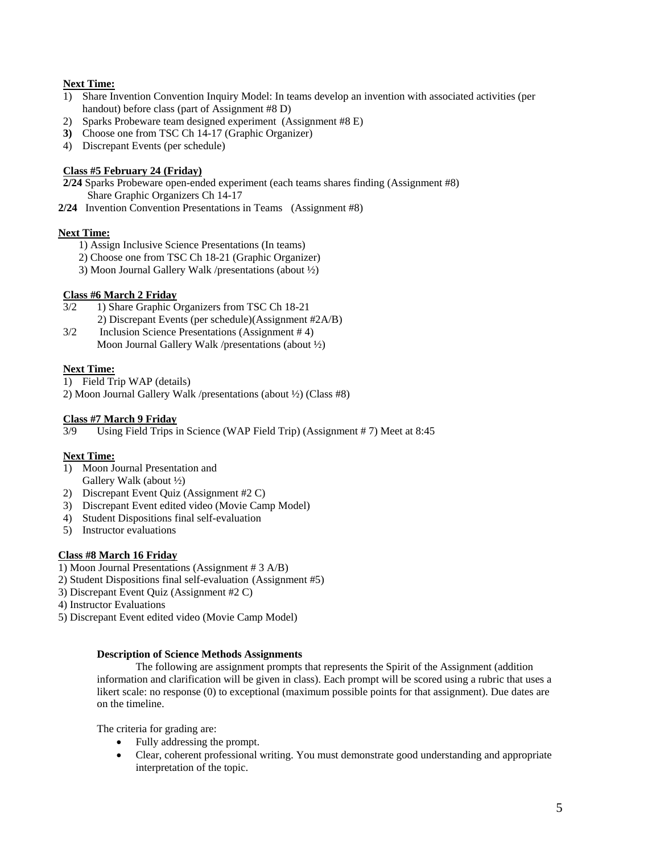# **Next Time:**

- handout) before class (part of Assignment #8 D) 1) Share Invention Convention Inquiry Model: In teams develop an invention with associated activities (per
- 2) Sparks Probeware team designed experiment (Assignment #8 E)
- **3)** Choose one from TSC Ch 14-17 (Graphic Organizer)
- 4) Discrepant Events (per schedule)

# **Class #5 February 24 (Friday)**

 **2/24** Sparks Probeware open-ended experiment (each teams shares finding (Assignment #8) Share Graphic Organizers Ch 14-17

 **2/24** Invention Convention Presentations in Teams (Assignment #8)

# **Next Time:**

- 1) Assign Inclusive Science Presentations (In teams)
- 2) Choose one from TSC Ch 18-21 (Graphic Organizer)
- 3) Moon Journal Gallery Walk /presentations (about ½)

# **Class #6 March 2 Friday**

- 3/2 1) Share Graphic Organizers from TSC Ch 18-21
	- 2) Discrepant Events (per schedule)(Assignment #2A/B)
- Moon Journal Gallery Walk /presentations (about ½) 3/2 Inclusion Science Presentations (Assignment # 4)

# **Next Time:**

1) Field Trip WAP (details)

2) Moon Journal Gallery Walk /presentations (about ½) (Class #8)

# **Class #7 March 9 Friday**

3/9 Using Field Trips in Science (WAP Field Trip) (Assignment # 7) Meet at 8:45

# **Next Time:**

- Gallery Walk (about  $\frac{1}{2}$ ) 1) Moon Journal Presentation and
- 2) Discrepant Event Quiz (Assignment #2 C)
- 3) Discrepant Event edited video (Movie Camp Model)
- 4) Student Dispositions final self-evaluation
- 5) Instructor evaluations

# **Class #8 March 16 Friday**

- 1) Moon Journal Presentations (Assignment # 3 A/B)
- 2) Student Dispositions final self-evaluation (Assignment #5)
- 3) Discrepant Event Quiz (Assignment #2 C)
- 4) Instructor Evaluations
- 5) Discrepant Event edited video (Movie Camp Model)

#### **Description of Science Methods Assignments**

 information and clarification will be given in class). Each prompt will be scored using a rubric that uses a The following are assignment prompts that represents the Spirit of the Assignment (addition likert scale: no response (0) to exceptional (maximum possible points for that assignment). Due dates are on the timeline.

The criteria for grading are:

- Fully addressing the prompt.
- Clear, coherent professional writing. You must demonstrate good understanding and appropriate interpretation of the topic.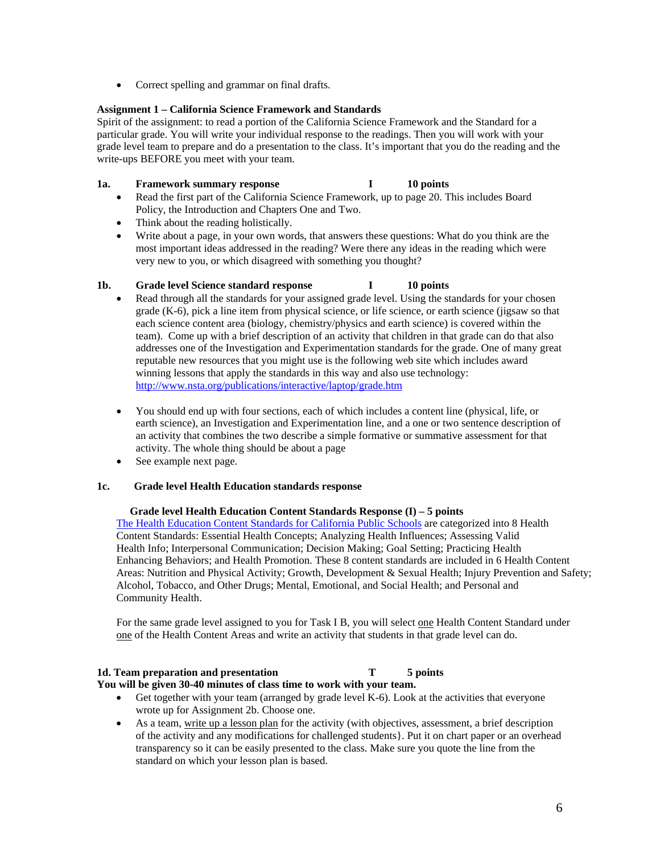• Correct spelling and grammar on final drafts.

# **Assignment 1 – California Science Framework and Standards**

 Spirit of the assignment: to read a portion of the California Science Framework and the Standard for a particular grade. You will write your individual response to the readings. Then you will work with your grade level team to prepare and do a presentation to the class. It's important that you do the reading and the write-ups BEFORE you meet with your team.

# 1a. Framework summary response **I** 10 points

- Read the first part of the California Science Framework, up to page 20. This includes Board Policy, the Introduction and Chapters One and Two.
- Think about the reading holistically.
- Write about a page, in your own words, that answers these questions: What do you think are the most important ideas addressed in the reading? Were there any ideas in the reading which were very new to you, or which disagreed with something you thought?

## 1b. Grade level Science standard response I 10 points

- team). Come up with a brief description of an activity that children in that grade can do that also addresses one of the Investigation and Experimentation standards for the grade. One of many great Read through all the standards for your assigned grade level. Using the standards for your chosen grade (K-6), pick a line item from physical science, or life science, or earth science (jigsaw so that each science content area (biology, chemistry/physics and earth science) is covered within the reputable new resources that you might use is the following web site which includes award winning lessons that apply the standards in this way and also use technology: http://www.nsta.org/publications/interactive/laptop/grade.htm
- activity. The whole thing should be about a page You should end up with four sections, each of which includes a content line (physical, life, or earth science), an Investigation and Experimentation line, and a one or two sentence description of an activity that combines the two describe a simple formative or summative assessment for that
- See example next page.

#### 1c. **1c. Grade level Health Education standards response**

# **Grade level Health Education Content Standards Response (I) – 5 points**

 The Health Education Content Standards for California Public Schools are categorized into 8 Health Content Standards: Essential Health Concepts; Analyzing Health Influences; Assessing Valid Content Standards: Essential Health Concepts; Analyzing Health Influences; Assessing Valid Health Info; Interpersonal Communication; Decision Making; Goal Setting; Practicing Health Alcohol, Tobacco, and Other Drugs; Mental, Emotional, and Social Health; and Personal and Community Health. Enhancing Behaviors; and Health Promotion. These 8 content standards are included in 6 Health Content Areas: Nutrition and Physical Activity; Growth, Development & Sexual Health; Injury Prevention and Safety;

For the same grade level assigned to you for Task I B, you will select one Health Content Standard under one of the Health Content Areas and write an activity that students in that grade level can do.

#### 1d. Team preparation and presentation T 5 points **You will be given 30-40 minutes of class time to work with your team.**

- Get together with your team (arranged by grade level K-6). Look at the activities that everyone wrote up for Assignment 2b. Choose one.
- As a team, write up a lesson plan for the activity (with objectives, assessment, a brief description of the activity and any modifications for challenged students}. Put it on chart paper or an overhead transparency so it can be easily presented to the class. Make sure you quote the line from the standard on which your lesson plan is based.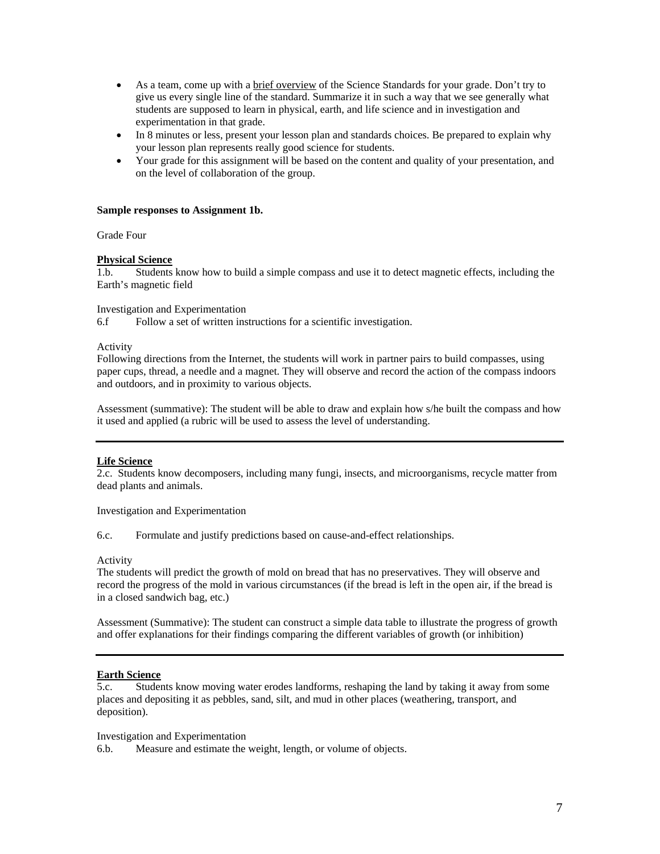- experimentation in that grade. As a team, come up with a brief overview of the Science Standards for your grade. Don't try to give us every single line of the standard. Summarize it in such a way that we see generally what students are supposed to learn in physical, earth, and life science and in investigation and
- In 8 minutes or less, present your lesson plan and standards choices. Be prepared to explain why your lesson plan represents really good science for students.
- Your grade for this assignment will be based on the content and quality of your presentation, and on the level of collaboration of the group.

#### **Sample responses to Assignment 1b.**

Grade Four

## **Physical Science**

1.b. Students know how to build a simple compass and use it to detect magnetic effects, including the Earth's magnetic field

## Investigation and Experimentation

6.f Follow a set of written instructions for a scientific investigation.

#### Activity

 Following directions from the Internet, the students will work in partner pairs to build compasses, using paper cups, thread, a needle and a magnet. They will observe and record the action of the compass indoors and outdoors, and in proximity to various objects.

Assessment (summative): The student will be able to draw and explain how s/he built the compass and how it used and applied (a rubric will be used to assess the level of understanding.

#### **Life Science**

2.c. Students know decomposers, including many fungi, insects, and microorganisms, recycle matter from dead plants and animals.

Investigation and Experimentation

6.c. Formulate and justify predictions based on cause-and-effect relationships.

#### Activity

The students will predict the growth of mold on bread that has no preservatives. They will observe and record the progress of the mold in various circumstances (if the bread is left in the open air, if the bread is in a closed sandwich bag, etc.)

Assessment (Summative): The student can construct a simple data table to illustrate the progress of growth and offer explanations for their findings comparing the different variables of growth (or inhibition)

# **Earth Science**

 5.c. Students know moving water erodes landforms, reshaping the land by taking it away from some places and depositing it as pebbles, sand, silt, and mud in other places (weathering, transport, and deposition).

# Investigation and Experimentation

6.b. Measure and estimate the weight, length, or volume of objects.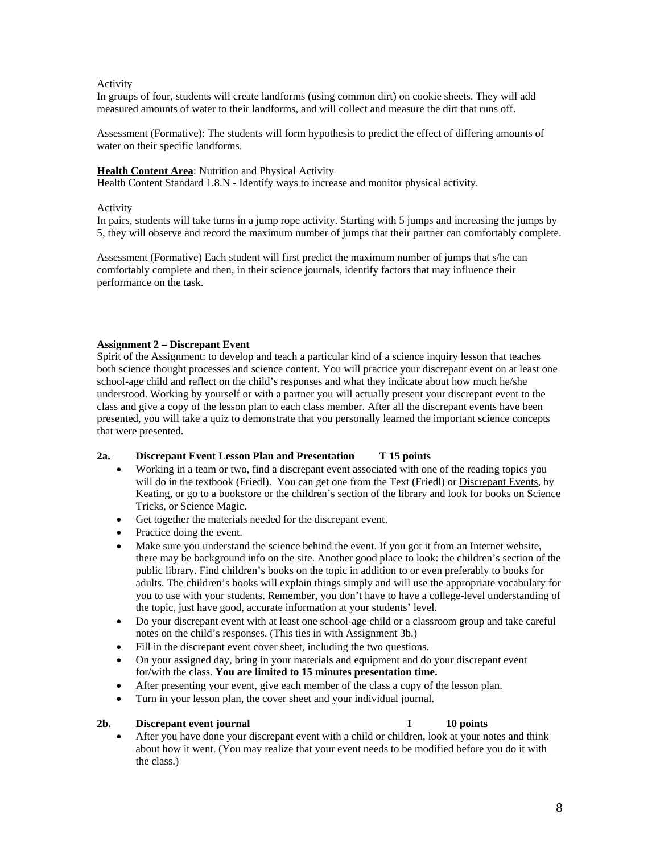# Activity

In groups of four, students will create landforms (using common dirt) on cookie sheets. They will add measured amounts of water to their landforms, and will collect and measure the dirt that runs off.

Assessment (Formative): The students will form hypothesis to predict the effect of differing amounts of water on their specific landforms.

#### **Health Content Area**: Nutrition and Physical Activity

Health Content Standard 1.8.N - Identify ways to increase and monitor physical activity*.* 

#### Activity

In pairs, students will take turns in a jump rope activity. Starting with 5 jumps and increasing the jumps by 5, they will observe and record the maximum number of jumps that their partner can comfortably complete.

Assessment (Formative) Each student will first predict the maximum number of jumps that s/he can comfortably complete and then, in their science journals, identify factors that may influence their performance on the task.

# **Assignment 2 – Discrepant Event**

Spirit of the Assignment: to develop and teach a particular kind of a science inquiry lesson that teaches both science thought processes and science content. You will practice your discrepant event on at least one school-age child and reflect on the child's responses and what they indicate about how much he/she understood. Working by yourself or with a partner you will actually present your discrepant event to the class and give a copy of the lesson plan to each class member. After all the discrepant events have been presented, you will take a quiz to demonstrate that you personally learned the important science concepts that were presented.

# **2a. Discrepant Event Lesson Plan and Presentation T 15 points**

- Working in a team or two, find a discrepant event associated with one of the reading topics you will do in the textbook (Friedl). You can get one from the Text (Friedl) or Discrepant Events, by Keating, or go to a bookstore or the children's section of the library and look for books on Science Tricks, or Science Magic.
- Get together the materials needed for the discrepant event.
- Practice doing the event.
- Make sure you understand the science behind the event. If you got it from an Internet website, there may be background info on the site. Another good place to look: the children's section of the public library. Find children's books on the topic in addition to or even preferably to books for adults. The children's books will explain things simply and will use the appropriate vocabulary for you to use with your students. Remember, you don't have to have a college-level understanding of the topic, just have good, accurate information at your students' level.
- Do your discrepant event with at least one school-age child or a classroom group and take careful notes on the child's responses. (This ties in with Assignment 3b.)
- Fill in the discrepant event cover sheet, including the two questions.
- On your assigned day, bring in your materials and equipment and do your discrepant event for/with the class. **You are limited to 15 minutes presentation time.**
- After presenting your event, give each member of the class a copy of the lesson plan.
- Turn in your lesson plan, the cover sheet and your individual journal.

#### **2b. Discrepant event journal I 10 points**

 about how it went. (You may realize that your event needs to be modified before you do it with After you have done your discrepant event with a child or children, look at your notes and think the class.)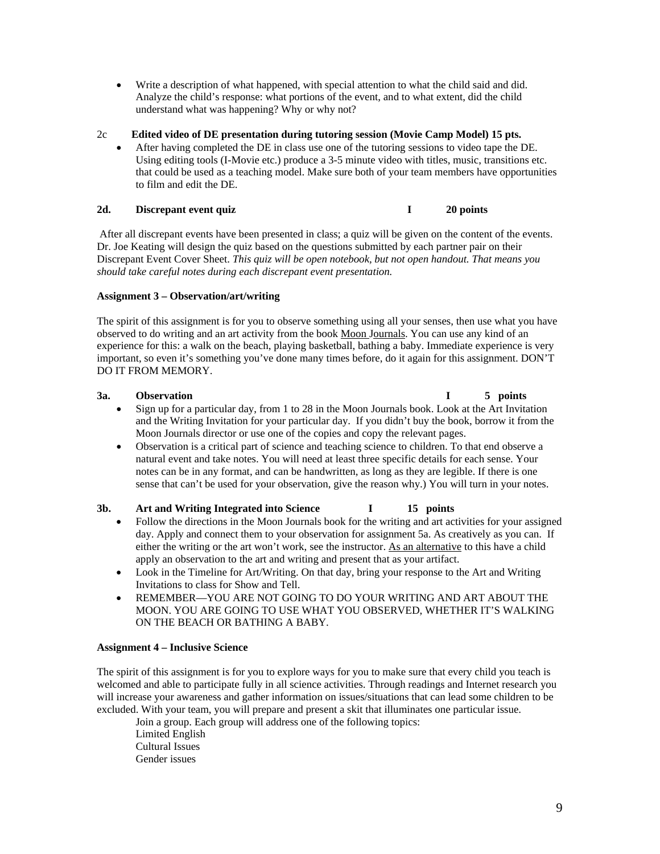- Write a description of what happened, with special attention to what the child said and did. understand what was happening? Why or why not? Analyze the child's response: what portions of the event, and to what extent, did the child
- 2c **Edited video of DE presentation during tutoring session (Movie Camp Model) 15 pts.** 
	- After having completed the DE in class use one of the tutoring sessions to video tape the DE. Using editing tools (I-Movie etc.) produce a 3-5 minute video with titles, music, transitions etc. that could be used as a teaching model. Make sure both of your team members have opportunities to film and edit the DE.

# 2d. Discrepant event quiz **I** 20 points

 After all discrepant events have been presented in class; a quiz will be given on the content of the events. Dr. Joe Keating will design the quiz based on the questions submitted by each partner pair on their Discrepant Event Cover Sheet. *This quiz will be open notebook, but not open handout. That means you should take careful notes during each discrepant event presentation.* 

# **Assignment 3 – Observation/art/writing**

 The spirit of this assignment is for you to observe something using all your senses, then use what you have observed to do writing and an art activity from the book Moon Journals. You can use any kind of an experience for this: a walk on the beach, playing basketball, bathing a baby. Immediate experience is very DO IT FROM MEMORY. important, so even it's something you've done many times before, do it again for this assignment. DON'T

# 3a.

- Sign up for a particular day, from 1 to 28 in the Moon Journals book. Look at the Art Invitation and the Writing Invitation for your particular day. If you didn't buy the book, borrow it from the Moon Journals director or use one of the copies and copy the relevant pages.
- natural event and take notes. You will need at least three specific details for each sense. Your notes can be in any format, and can be handwritten, as long as they are legible. If there is one Observation is a critical part of science and teaching science to children. To that end observe a sense that can't be used for your observation, give the reason why.) You will turn in your notes.

# **3b. Art and Writing Integrated into Science I 15 points**

- day. Apply and connect them to your observation for assignment 5a. As creatively as you can. If either the writing or the art won't work, see the instructor. As an alternative to this have a child Follow the directions in the Moon Journals book for the writing and art activities for your assigned apply an observation to the art and writing and present that as your artifact.
- Look in the Timeline for Art/Writing. On that day, bring your response to the Art and Writing Invitations to class for Show and Tell.
- REMEMBER—YOU ARE NOT GOING TO DO YOUR WRITING AND ART ABOUT THE MOON. YOU ARE GOING TO USE WHAT YOU OBSERVED, WHETHER IT'S WALKING ON THE BEACH OR BATHING A BABY.

# **Assignment 4 – Inclusive Science**

 welcomed and able to participate fully in all science activities. Through readings and Internet research you The spirit of this assignment is for you to explore ways for you to make sure that every child you teach is will increase your awareness and gather information on issues/situations that can lead some children to be excluded. With your team, you will prepare and present a skit that illuminates one particular issue.

Join a group. Each group will address one of the following topics: Limited English Cultural Issues Gender issues

### **3 3 1 1 3 points 1 5 points**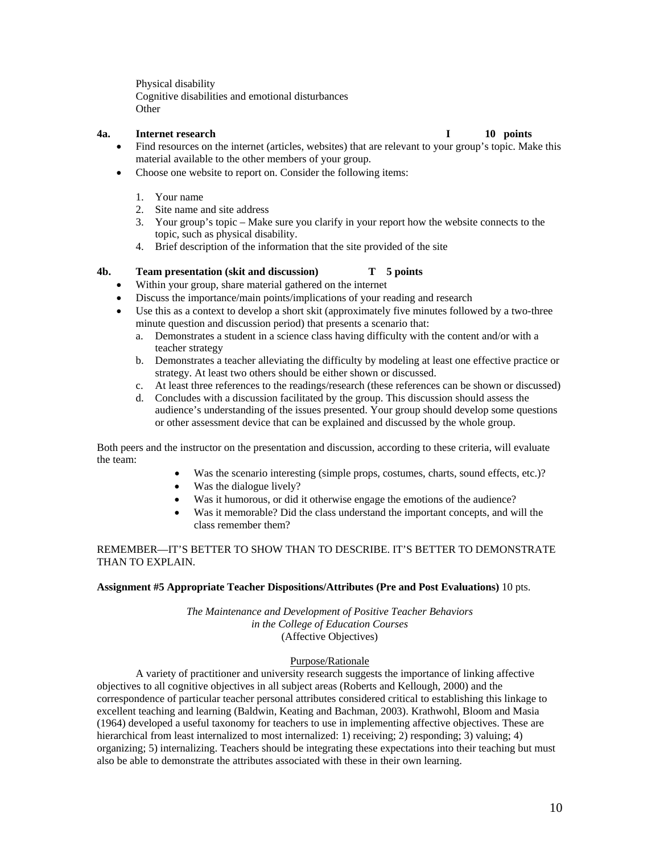Physical disability Cognitive disabilities and emotional disturbances **Other** 

# **4a.** Internet research **I**

10 points

- Find resources on the internet (articles, websites) that are relevant to your group's topic. Make this material available to the other members of your group.
- Choose one website to report on. Consider the following items:
	- 1. Your name
	- 2. Site name and site address
	- 3. Your group's topic Make sure you clarify in your report how the website connects to the topic, such as physical disability.
	- 4. Brief description of the information that the site provided of the site

#### **4b. Team presentation (skit and discussion) T 5 points**

- Within your group, share material gathered on the internet
- Discuss the importance/main points/implications of your reading and research
- Use this as a context to develop a short skit (approximately five minutes followed by a two-three minute question and discussion period) that presents a scenario that:
	- a. Demonstrates a student in a science class having difficulty with the content and/or with a teacher strategy
	- strategy. At least two others should be either shown or discussed. b. Demonstrates a teacher alleviating the difficulty by modeling at least one effective practice or
	- c. At least three references to the readings/research (these references can be shown or discussed)
	- d. Concludes with a discussion facilitated by the group. This discussion should assess the audience's understanding of the issues presented. Your group should develop some questions or other assessment device that can be explained and discussed by the whole group.

Both peers and the instructor on the presentation and discussion, according to these criteria, will evaluate the team:

- Was the scenario interesting (simple props, costumes, charts, sound effects, etc.)?
- Was the dialogue lively?
- Was it humorous, or did it otherwise engage the emotions of the audience?
- Was it memorable? Did the class understand the important concepts, and will the class remember them?

REMEMBER—IT'S BETTER TO SHOW THAN TO DESCRIBE. IT'S BETTER TO DEMONSTRATE THAN TO EXPLAIN.

#### **Assignment #5 Appropriate Teacher Dispositions/Attributes (Pre and Post Evaluations)** 10 pts.

*The Maintenance and Development of Positive Teacher Behaviors in the College of Education Courses*  (Affective Objectives)

# Purpose/Rationale

A variety of practitioner and university research suggests the importance of linking affective objectives to all cognitive objectives in all subject areas (Roberts and Kellough, 2000) and the correspondence of particular teacher personal attributes considered critical to establishing this linkage to excellent teaching and learning (Baldwin, Keating and Bachman, 2003). Krathwohl, Bloom and Masia (1964) developed a useful taxonomy for teachers to use in implementing affective objectives. These are hierarchical from least internalized to most internalized: 1) receiving; 2) responding; 3) valuing; 4) organizing; 5) internalizing. Teachers should be integrating these expectations into their teaching but must also be able to demonstrate the attributes associated with these in their own learning.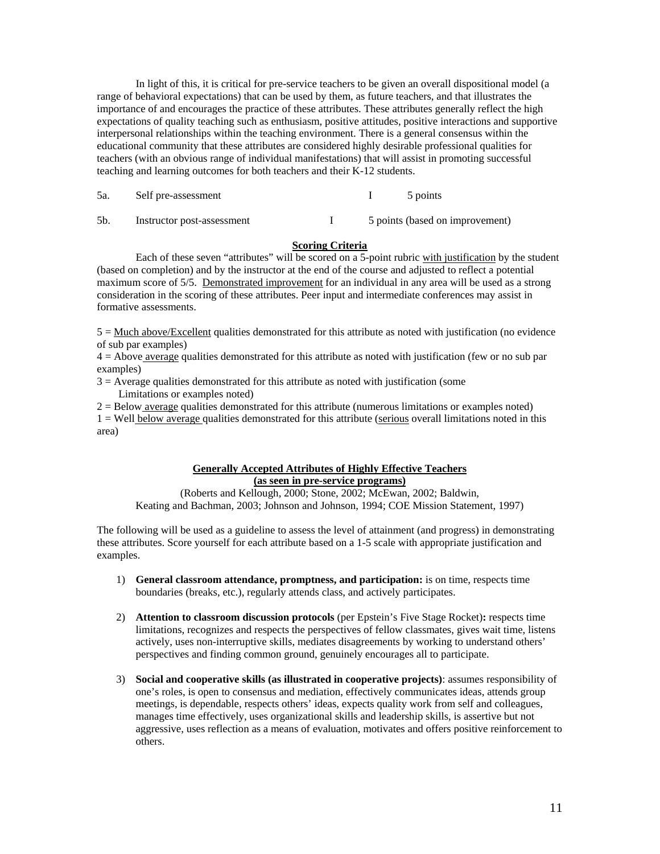In light of this, it is critical for pre-service teachers to be given an overall dispositional model (a range of behavioral expectations) that can be used by them, as future teachers, and that illustrates the importance of and encourages the practice of these attributes. These attributes generally reflect the high expectations of quality teaching such as enthusiasm, positive attitudes, positive interactions and supportive interpersonal relationships within the teaching environment. There is a general consensus within the educational community that these attributes are considered highly desirable professional qualities for teachers (with an obvious range of individual manifestations) that will assist in promoting successful teaching and learning outcomes for both teachers and their K-12 students.

| 5a.<br>Self pre-assessment | 5 points |
|----------------------------|----------|
|----------------------------|----------|

5b. Instructor post-assessment I 5 points (based on improvement)

# **Scoring Criteria**

 (based on completion) and by the instructor at the end of the course and adjusted to reflect a potential maximum score of 5/5. Demonstrated improvement for an individual in any area will be used as a strong Each of these seven "attributes" will be scored on a 5-point rubric with justification by the student consideration in the scoring of these attributes. Peer input and intermediate conferences may assist in formative assessments.

 $5 = \text{Much above}/\text{Excell}$  qualities demonstrated for this attribute as noted with justification (no evidence of sub par examples)

4 = Above average qualities demonstrated for this attribute as noted with justification (few or no sub par examples)

 $3 =$  Average qualities demonstrated for this attribute as noted with justification (some Limitations or examples noted)

2 = Below average qualities demonstrated for this attribute (numerous limitations or examples noted)

1 = Well below average qualities demonstrated for this attribute (serious overall limitations noted in this area)

# **Generally Accepted Attributes of Highly Effective Teachers (as seen in pre-service programs)**

(Roberts and Kellough, 2000; Stone, 2002; McEwan, 2002; Baldwin, Keating and Bachman, 2003; Johnson and Johnson, 1994; COE Mission Statement, 1997)

 The following will be used as a guideline to assess the level of attainment (and progress) in demonstrating these attributes. Score yourself for each attribute based on a 1-5 scale with appropriate justification and examples.

- 1) **General classroom attendance, promptness, and participation:** is on time, respects time boundaries (breaks, etc.), regularly attends class, and actively participates.
- 2) **Attention to classroom discussion protocols** (per Epstein's Five Stage Rocket)**:** respects time limitations, recognizes and respects the perspectives of fellow classmates, gives wait time, listens actively, uses non-interruptive skills, mediates disagreements by working to understand others' perspectives and finding common ground, genuinely encourages all to participate.
- 3) **Social and cooperative skills (as illustrated in cooperative projects)**: assumes responsibility of one's roles, is open to consensus and mediation, effectively communicates ideas, attends group meetings, is dependable, respects others' ideas, expects quality work from self and colleagues, manages time effectively, uses organizational skills and leadership skills, is assertive but not aggressive, uses reflection as a means of evaluation, motivates and offers positive reinforcement to others.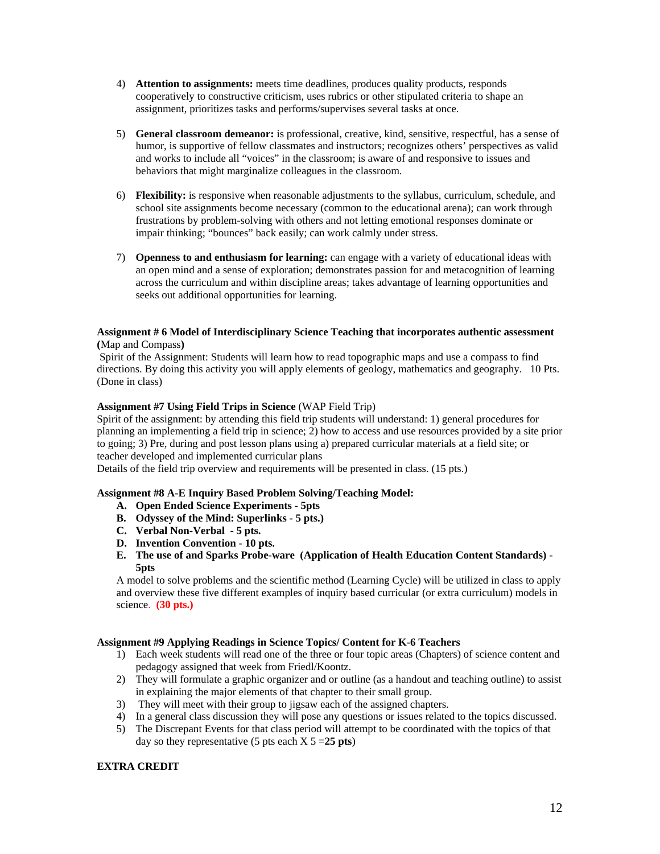- 4) **Attention to assignments:** meets time deadlines, produces quality products, responds cooperatively to constructive criticism, uses rubrics or other stipulated criteria to shape an assignment, prioritizes tasks and performs/supervises several tasks at once.
- 5) **General classroom demeanor:** is professional, creative, kind, sensitive, respectful, has a sense of humor, is supportive of fellow classmates and instructors; recognizes others' perspectives as valid and works to include all "voices" in the classroom; is aware of and responsive to issues and behaviors that might marginalize colleagues in the classroom.
- impair thinking; "bounces" back easily; can work calmly under stress. 6) **Flexibility:** is responsive when reasonable adjustments to the syllabus, curriculum, schedule, and school site assignments become necessary (common to the educational arena); can work through frustrations by problem-solving with others and not letting emotional responses dominate or
- across the curriculum and within discipline areas; takes advantage of learning opportunities and 7) **Openness to and enthusiasm for learning:** can engage with a variety of educational ideas with an open mind and a sense of exploration; demonstrates passion for and metacognition of learning seeks out additional opportunities for learning.

# **(**Map and Compass**) Assignment # 6 Model of Interdisciplinary Science Teaching that incorporates authentic assessment**

 Spirit of the Assignment: Students will learn how to read topographic maps and use a compass to find directions. By doing this activity you will apply elements of geology, mathematics and geography. 10 Pts. (Done in class)

# **Assignment #7 Using Field Trips in Science (WAP Field Trip)**

Spirit of the assignment: by attending this field trip students will understand: 1) general procedures for planning an implementing a field trip in science; 2) how to access and use resources provided by a site prior to going; 3) Pre, during and post lesson plans using a) prepared curricular materials at a field site; or teacher developed and implemented curricular plans

Details of the field trip overview and requirements will be presented in class. (15 pts.)

# **Assignment #8 A-E Inquiry Based Problem Solving/Teaching Model:**

- **A. Open Ended Science Experiments 5pts**
- **B. Odyssey of the Mind: Superlinks 5 pts.)**
- C. Verbal Non-Verbal 5 pts.
- **C. Verbal Non-Verbal 5 pts. D. Invention Convention 10 pts.**
- **E. The use of and Sparks Probe-ware (Application of Health Education Content Standards) 5pts**

A model to solve problems and the scientific method (Learning Cycle) will be utilized in class to apply and overview these five different examples of inquiry based curricular (or extra curriculum) models in science. **(30 pts.)** 

# **Assignment #9 Applying Readings in Science Topics/ Content for K-6 Teachers**

- pedagogy assigned that week from Friedl/Koontz. 1) Each week students will read one of the three or four topic areas (Chapters) of science content and
- 2) They will formulate a graphic organizer and or outline (as a handout and teaching outline) to assist in explaining the major elements of that chapter to their small group.
- 3) They will meet with their group to jigsaw each of the assigned chapters.
- 4) In a general class discussion they will pose any questions or issues related to the topics discussed.
- 5) The Discrepant Events for that class period will attempt to be coordinated with the topics of that day so they representative  $(5 \text{ pts each X } 5 = 25 \text{ pts})$

# **EXTRA CREDIT**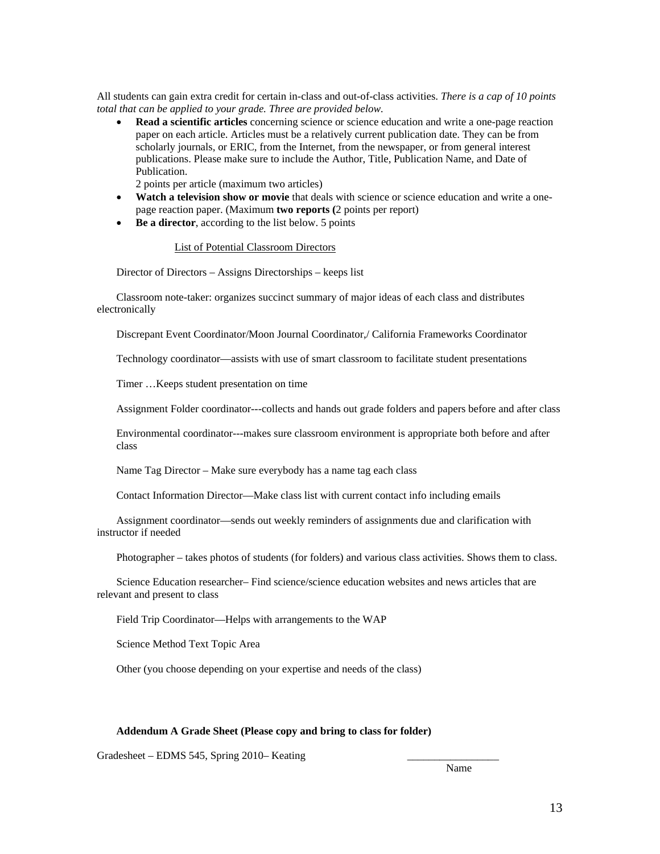All students can gain extra credit for certain in-class and out-of-class activities. *There is a cap of 10 points total that can be applied to your grade. Three are provided below.* 

 paper on each article. Articles must be a relatively current publication date. They can be from Publication. **Read a scientific articles** concerning science or science education and write a one-page reaction scholarly journals, or ERIC, from the Internet, from the newspaper, or from general interest publications. Please make sure to include the Author, Title, Publication Name, and Date of

2 points per article (maximum two articles)

- **Watch a television show or movie** that deals with science or science education and write a onepage reaction paper. (Maximum **two reports (**2 points per report)
- Be a director, according to the list below. 5 points

#### List of Potential Classroom Directors

Director of Directors – Assigns Directorships – keeps list

Classroom note-taker: organizes succinct summary of major ideas of each class and distributes electronically

Discrepant Event Coordinator/Moon Journal Coordinator,/ California Frameworks Coordinator

Technology coordinator—assists with use of smart classroom to facilitate student presentations

Timer …Keeps student presentation on time

Assignment Folder coordinator---collects and hands out grade folders and papers before and after class

Environmental coordinator---makes sure classroom environment is appropriate both before and after class

Name Tag Director – Make sure everybody has a name tag each class

Contact Information Director—Make class list with current contact info including emails

Assignment coordinator—sends out weekly reminders of assignments due and clarification with instructor if needed

Photographer – takes photos of students (for folders) and various class activities. Shows them to class.

Science Education researcher– Find science/science education websites and news articles that are relevant and present to class

Field Trip Coordinator—Helps with arrangements to the WAP

Science Method Text Topic Area

Other (you choose depending on your expertise and needs of the class)

#### **Addendum A Grade Sheet (Please copy and bring to class for folder)**

Gradesheet – EDMS 545, Spring 2010– Keating

Name Name and the Name of the Name of the Name of the Name of the Name of the Name of the Name of the Name of the Name of the Name of the Name of the Name of the Name of the Name of the Name of the Name of the Name of the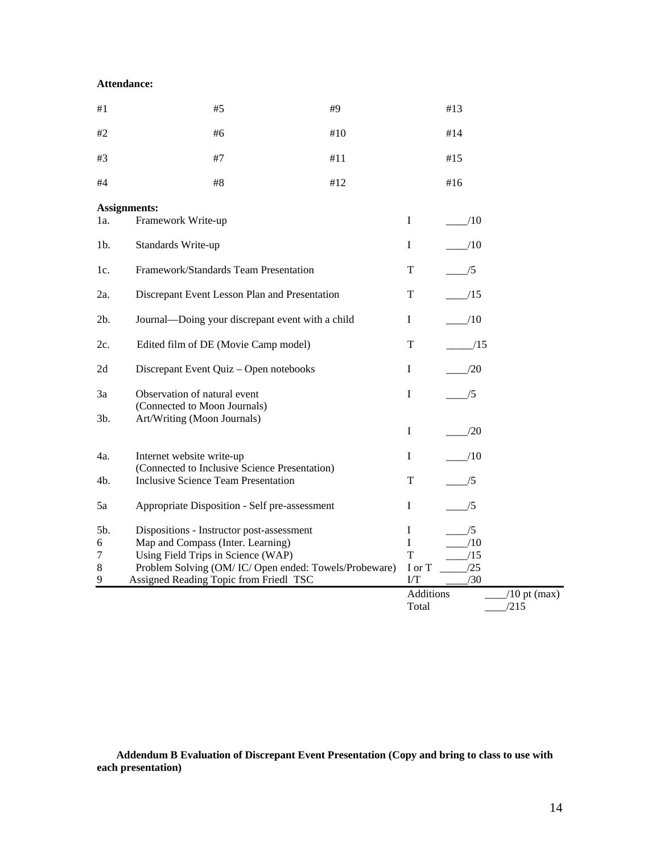# **Attendance:**

| $\#1$               | #5                                                                                          | #9  |             | #13              |                |  |  |
|---------------------|---------------------------------------------------------------------------------------------|-----|-------------|------------------|----------------|--|--|
| #2                  | #6                                                                                          | #10 |             | #14              |                |  |  |
| #3                  | $\#7$                                                                                       | #11 |             | #15              |                |  |  |
| #4                  | #8                                                                                          | #12 |             | #16              |                |  |  |
| <b>Assignments:</b> |                                                                                             |     |             |                  |                |  |  |
| la.                 | Framework Write-up                                                                          |     | $\mathbf I$ | /10              |                |  |  |
| 1 <sub>b</sub>      | Standards Write-up                                                                          |     | $\bf{I}$    | /10              |                |  |  |
| 1c.                 | Framework/Standards Team Presentation                                                       |     | T           | /5               |                |  |  |
| 2a.                 | Discrepant Event Lesson Plan and Presentation                                               |     |             | /15              |                |  |  |
| $2b$ .              | Journal—Doing your discrepant event with a child                                            |     |             | /10              |                |  |  |
| 2c.                 | Edited film of DE (Movie Camp model)                                                        |     | T           | /15              |                |  |  |
| 2d                  | Discrepant Event Quiz - Open notebooks                                                      |     | I           | /20              |                |  |  |
| 3a                  | Observation of natural event                                                                |     | I           | /5               |                |  |  |
| $3b$ .              | (Connected to Moon Journals)<br>Art/Writing (Moon Journals)                                 |     |             |                  |                |  |  |
|                     |                                                                                             |     | I           | /20              |                |  |  |
| 4a.                 | Internet website write-up                                                                   |     | $\bf I$     | /10              |                |  |  |
| 4b.                 | (Connected to Inclusive Science Presentation)<br><b>Inclusive Science Team Presentation</b> |     | T           | /5               |                |  |  |
| 5a                  | Appropriate Disposition - Self pre-assessment                                               |     | I           | /5               |                |  |  |
| 5b.                 | Dispositions - Instructor post-assessment                                                   |     | I           | /5               |                |  |  |
| 6                   | Map and Compass (Inter. Learning)                                                           |     | $\mathbf I$ | /10              |                |  |  |
| 7                   | Using Field Trips in Science (WAP)                                                          |     | T           | /15              |                |  |  |
| $\,8\,$             | Problem Solving (OM/IC/Open ended: Towels/Probeware)                                        |     | I or T      | /25              |                |  |  |
| 9                   | Assigned Reading Topic from Friedl TSC                                                      |     | $\Gamma$    | /30              |                |  |  |
|                     |                                                                                             |     |             | <b>Additions</b> | $/10$ pt (max) |  |  |
|                     |                                                                                             |     | Total       |                  | /215           |  |  |

**Addendum B Evaluation of Discrepant Event Presentation (Copy and bring to class to use with each presentation)**